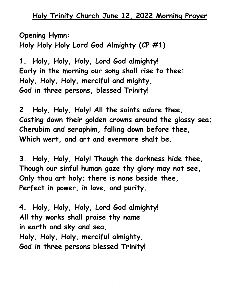**Opening Hymn: Holy Holy Holy Lord God Almighty (CP #1)**

**1. Holy, Holy, Holy, Lord God almighty! Early in the morning our song shall rise to thee: Holy, Holy, Holy, merciful and mighty, God in three persons, blessed Trinity!**

**2. Holy, Holy, Holy! All the saints adore thee, Casting down their golden crowns around the glassy sea; Cherubim and seraphim, falling down before thee, Which wert, and art and evermore shalt be.**

**3. Holy, Holy, Holy! Though the darkness hide thee, Though our sinful human gaze thy glory may not see, Only thou art holy; there is none beside thee, Perfect in power, in love, and purity.**

**4. Holy, Holy, Holy, Lord God almighty! All thy works shall praise thy name in earth and sky and sea, Holy, Holy, Holy, merciful almighty, God in three persons blessed Trinity!**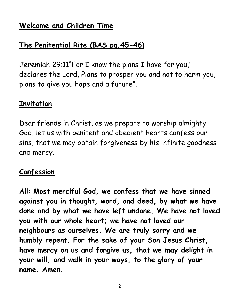## **Welcome and Children Time**

### **The Penitential Rite (BAS pg.45-46)**

Jeremiah 29:11"For I know the plans I have for you," declares the Lord, Plans to prosper you and not to harm you, plans to give you hope and a future".

#### **Invitation**

Dear friends in Christ, as we prepare to worship almighty God, let us with penitent and obedient hearts confess our sins, that we may obtain forgiveness by his infinite goodness and mercy.

#### **Confession**

**All: Most merciful God, we confess that we have sinned against you in thought, word, and deed, by what we have done and by what we have left undone. We have not loved you with our whole heart; we have not loved our neighbours as ourselves. We are truly sorry and we humbly repent. For the sake of your Son Jesus Christ, have mercy on us and forgive us, that we may delight in your will, and walk in your ways, to the glory of your name. Amen.**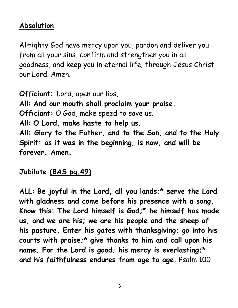### **Absolution**

Almighty God have mercy upon you, pardon and deliver you from all your sins, confirm and strengthen you in all goodness, and keep you in eternal life; through Jesus Christ our Lord. Amen.

**Officiant**: Lord, open our lips, **All: And our mouth shall proclaim your praise. Officiant:** O God, make speed to save us. **All: O Lord, make haste to help us. All: Glory to the Father, and to the Son, and to the Holy Spirit: as it was in the beginning, is now, and will be forever. Amen.**

**Jubilate (BAS pg.49)**

**ALL: Be joyful in the Lord, all you lands;\* serve the Lord with gladness and come before his presence with a song. Know this: The Lord himself is God;\* he himself has made us, and we are his; we are his people and the sheep of his pasture. Enter his gates with thanksgiving; go into his courts with praise;\* give thanks to him and call upon his name. For the Lord is good; his mercy is everlasting;\* and his faithfulness endures from age to age.** Psalm 100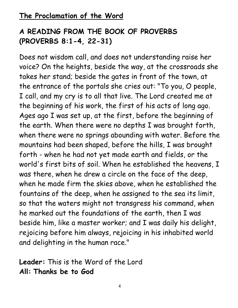# **A READING FROM THE BOOK OF PROVERBS (PROVERBS 8:1-4, 22-31)**

Does not wisdom call, and does not understanding raise her voice? On the heights, beside the way, at the crossroads she takes her stand; beside the gates in front of the town, at the entrance of the portals she cries out: "To you, O people, I call, and my cry is to all that live. The Lord created me at the beginning of his work, the first of his acts of long ago. Ages ago I was set up, at the first, before the beginning of the earth. When there were no depths I was brought forth, when there were no springs abounding with water. Before the mountains had been shaped, before the hills, I was brought forth - when he had not yet made earth and fields, or the world's first bits of soil. When he established the heavens, I was there, when he drew a circle on the face of the deep, when he made firm the skies above, when he established the fountains of the deep, when he assigned to the sea its limit, so that the waters might not transgress his command, when he marked out the foundations of the earth, then I was beside him, like a master worker; and I was daily his delight, rejoicing before him always, rejoicing in his inhabited world and delighting in the human race."

**Leader:** This is the Word of the Lord **All: Thanks be to God**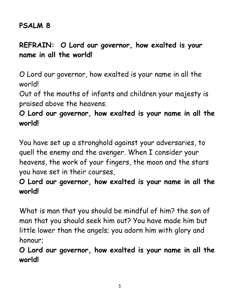### **PSALM 8**

# **REFRAIN: O Lord our governor, how exalted is your name in all the world!**

O Lord our governor, how exalted is your name in all the world!

Out of the mouths of infants and children your majesty is praised above the heavens.

## **O Lord our governor, how exalted is your name in all the world!**

You have set up a stronghold against your adversaries, to quell the enemy and the avenger. When I consider your heavens, the work of your fingers, the moon and the stars you have set in their courses,

## **O Lord our governor, how exalted is your name in all the world!**

What is man that you should be mindful of him? the son of man that you should seek him out? You have made him but little lower than the angels; you adorn him with glory and honour;

**O Lord our governor, how exalted is your name in all the world!**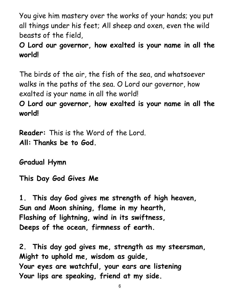You give him mastery over the works of your hands; you put all things under his feet; All sheep and oxen, even the wild beasts of the field,

## **O Lord our governor, how exalted is your name in all the world!**

The birds of the air, the fish of the sea, and whatsoever walks in the paths of the sea. O Lord our governor, how exalted is your name in all the world! **O Lord our governor, how exalted is your name in all the world!** 

**Reader:** This is the Word of the Lord. **All: Thanks be to God.**

**Gradual Hymn**

**This Day God Gives Me**

**1. This day God gives me strength of high heaven, Sun and Moon shining, flame in my hearth, Flashing of lightning, wind in its swiftness, Deeps of the ocean, firmness of earth.**

**2. This day god gives me, strength as my steersman, Might to uphold me, wisdom as guide, Your eyes are watchful, your ears are listening Your lips are speaking, friend at my side.**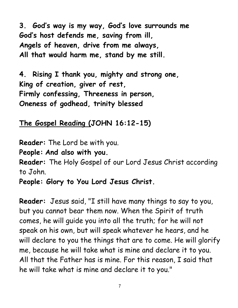**3. God's way is my way, God's love surrounds me God's host defends me, saving from ill, Angels of heaven, drive from me always, All that would harm me, stand by me still.**

**4. Rising I thank you, mighty and strong one, King of creation, giver of rest, Firmly confessing, Threeness in person, Oneness of godhead, trinity blessed**

**The Gospel Reading (JOHN 16:12-15)**

**Reader:** The Lord be with you.

**People: And also with you.**

**Reader:** The Holy Gospel of our Lord Jesus Christ according to John.

**People: Glory to You Lord Jesus Christ.**

**Reader:** Jesus said, "I still have many things to say to you, but you cannot bear them now. When the Spirit of truth comes, he will guide you into all the truth; for he will not speak on his own, but will speak whatever he hears, and he will declare to you the things that are to come. He will glorify me, because he will take what is mine and declare it to you. All that the Father has is mine. For this reason, I said that he will take what is mine and declare it to you."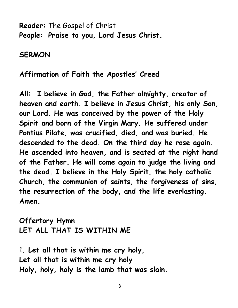**Reader:** The Gospel of Christ **People: Praise to you, Lord Jesus Christ.**

**SERMON**

#### **Affirmation of Faith the Apostles' Creed**

**All: I believe in God, the Father almighty, creator of heaven and earth. I believe in Jesus Christ, his only Son, our Lord. He was conceived by the power of the Holy Spirit and born of the Virgin Mary. He suffered under Pontius Pilate, was crucified, died, and was buried. He descended to the dead. On the third day he rose again. He ascended into heaven, and is seated at the right hand of the Father. He will come again to judge the living and the dead. I believe in the Holy Spirit, the holy catholic Church, the communion of saints, the forgiveness of sins, the resurrection of the body, and the life everlasting. Amen.**

**Offertory Hymn LET ALL THAT IS WITHIN ME**

1. **Let all that is within me cry holy, Let all that is within me cry holy Holy, holy, holy is the lamb that was slain.**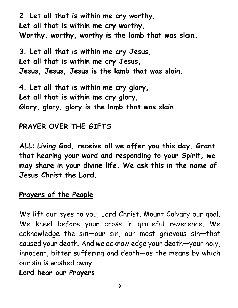**2. Let all that is within me cry worthy, Let all that is within me cry worthy, Worthy, worthy, worthy is the lamb that was slain.**

**3. Let all that is within me cry Jesus, Let all that is within me cry Jesus, Jesus, Jesus, Jesus is the lamb that was slain.**

**4. Let all that is within me cry glory, Let all that is within me cry glory, Glory, glory, glory is the lamb that was slain.**

#### **PRAYER OVER THE GIFTS**

**ALL: Living God, receive all we offer you this day. Grant that hearing your word and responding to your Spirit, we may share in your divine life. We ask this in the name of Jesus Christ the Lord.**

#### **Prayers of the People**

We lift our eyes to you, Lord Christ, Mount Calvary our goal. We kneel before your cross in grateful reverence. We acknowledge the sin—our sin, our most grievous sin—that caused your death. And we acknowledge your death—your holy, innocent, bitter suffering and death—as the means by which our sin is washed away.

#### **Lord hear our Prayers**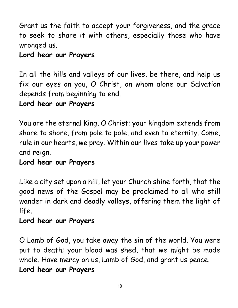Grant us the faith to accept your forgiveness, and the grace to seek to share it with others, especially those who have wronged us.

## **Lord hear our Prayers**

In all the hills and valleys of our lives, be there, and help us fix our eyes on you, O Christ, on whom alone our Salvation depends from beginning to end.

#### **Lord hear our Prayers**

You are the eternal King, O Christ; your kingdom extends from shore to shore, from pole to pole, and even to eternity. Come, rule in our hearts, we pray. Within our lives take up your power and reign.

#### **Lord hear our Prayers**

Like a city set upon a hill, let your Church shine forth, that the good news of the Gospel may be proclaimed to all who still wander in dark and deadly valleys, offering them the light of life.

#### **Lord hear our Prayers**

O Lamb of God, you take away the sin of the world. You were put to death; your blood was shed, that we might be made whole. Have mercy on us, Lamb of God, and grant us peace. **Lord hear our Prayers**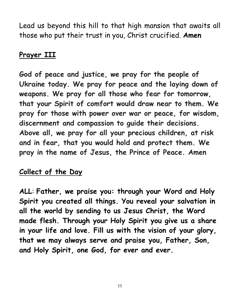Lead us beyond this hill to that high mansion that awaits all those who put their trust in you, Christ crucified. **Amen**

## **Prayer III**

**God of peace and justice, we pray for the people of Ukraine today. We pray for peace and the laying down of weapons. We pray for all those who fear for tomorrow, that your Spirit of comfort would draw near to them. We pray for those with power over war or peace, for wisdom, discernment and compassion to guide their decisions. Above all, we pray for all your precious children, at risk and in fear, that you would hold and protect them. We pray in the name of Jesus, the Prince of Peace. Amen**

#### **Collect of the Day**

**ALL**: **Father, we praise you: through your Word and Holy Spirit you created all things. You reveal your salvation in all the world by sending to us Jesus Christ, the Word made flesh. Through your Holy Spirit you give us a share in your life and love. Fill us with the vision of your glory, that we may always serve and praise you, Father, Son, and Holy Spirit, one God, for ever and ever.**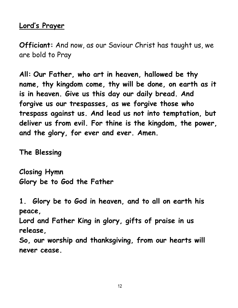#### **Lord's Prayer**

**Officiant:** And now, as our Saviour Christ has taught us, we are bold to Pray

**All: Our Father, who art in heaven, hallowed be thy name, thy kingdom come, thy will be done, on earth as it is in heaven. Give us this day our daily bread. And forgive us our trespasses, as we forgive those who trespass against us. And lead us not into temptation, but deliver us from evil. For thine is the kingdom, the power, and the glory, for ever and ever. Amen.**

**The Blessing** 

**Closing Hymn Glory be to God the Father**

**1. Glory be to God in heaven, and to all on earth his peace,**

**Lord and Father King in glory, gifts of praise in us release,**

**So, our worship and thanksgiving, from our hearts will never cease.**